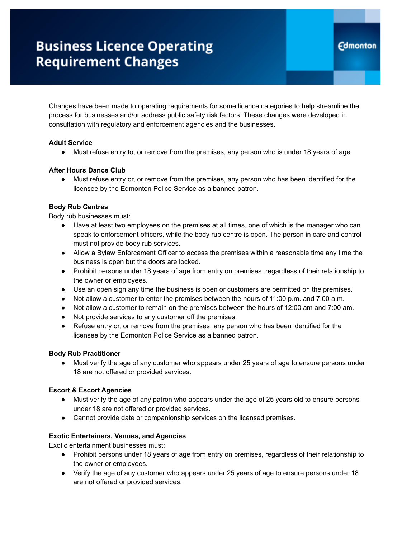# **Business Licence Operating Requirement Changes**

Changes have been made to operating requirements for some licence categories to help streamline the process for businesses and/or address public safety risk factors. These changes were developed in consultation with regulatory and enforcement agencies and the businesses.

## **Adult Service**

● Must refuse entry to, or remove from the premises, any person who is under 18 years of age.

## **After Hours Dance Club**

● Must refuse entry or, or remove from the premises, any person who has been identified for the licensee by the Edmonton Police Service as a banned patron.

## **Body Rub Centres**

Body rub businesses must:

- Have at least two employees on the premises at all times, one of which is the manager who can speak to enforcement officers, while the body rub centre is open. The person in care and control must not provide body rub services.
- Allow a Bylaw Enforcement Officer to access the premises within a reasonable time any time the business is open but the doors are locked.
- Prohibit persons under 18 years of age from entry on premises, regardless of their relationship to the owner or employees.
- Use an open sign any time the business is open or customers are permitted on the premises.
- Not allow a customer to enter the premises between the hours of 11:00 p.m. and 7:00 a.m.
- Not allow a customer to remain on the premises between the hours of 12:00 am and 7:00 am.
- Not provide services to any customer off the premises.
- Refuse entry or, or remove from the premises, any person who has been identified for the licensee by the Edmonton Police Service as a banned patron.

#### **Body Rub Practitioner**

● Must verify the age of any customer who appears under 25 years of age to ensure persons under 18 are not offered or provided services.

#### **Escort & Escort Agencies**

- Must verify the age of any patron who appears under the age of 25 years old to ensure persons under 18 are not offered or provided services.
- Cannot provide date or companionship services on the licensed premises.

#### **Exotic Entertainers, Venues, and Agencies**

Exotic entertainment businesses must:

- **●** Prohibit persons under 18 years of age from entry on premises, regardless of their relationship to the owner or employees.
- Verify the age of any customer who appears under 25 years of age to ensure persons under 18 are not offered or provided services.